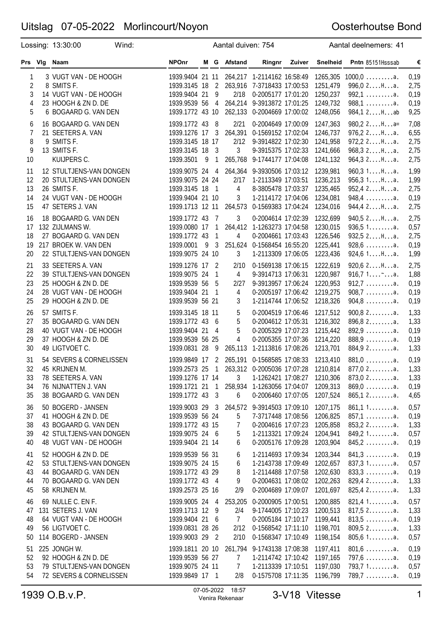### Oosterhoutse Bond

|                                     | Lossing: 13:30:00                                                                                                       | Wind: |                                                                                            |                | Aantal duiven: 754                               |                                                                                                                                                            |        |                                                          | Aantal deelnemers: 41                                                                  |                                      |
|-------------------------------------|-------------------------------------------------------------------------------------------------------------------------|-------|--------------------------------------------------------------------------------------------|----------------|--------------------------------------------------|------------------------------------------------------------------------------------------------------------------------------------------------------------|--------|----------------------------------------------------------|----------------------------------------------------------------------------------------|--------------------------------------|
| Prs Vig                             | Naam                                                                                                                    |       | <b>NPOnr</b>                                                                               |                | M G Afstand                                      | Ringnr                                                                                                                                                     | Zuiver | <b>Snelheid</b>                                          | Pntn 85151Hsssab                                                                       | €                                    |
| 1<br>2<br>3<br>4<br>5               | 3 VUGT VAN - DE HOOGH<br>8 SMITS F.<br>14 VUGT VAN - DE HOOGH<br>23 HOOGH & ZN D. DE<br>6 BOGAARD G. VAN DEN            |       | 1939.3145 18<br>1939.9404 21 9<br>1939.9539 56 4<br>1939.1772 43 10                        | $\overline{2}$ | 2/18                                             | 1939.9404 21 11 264,217 1-2114162 16:58:49<br>263,916 7-3718433 17:00:53<br>0-2005177 17:01:20<br>264,214 9-3913872 17:01:25<br>262,133 0-2004669 17:00:02 |        | 1265,305<br>1251,479<br>1250,237<br>1249,732<br>1248,056 | $1000,0$ a.<br>996,02Ha.<br>$992,1$ a.<br>$988,1$ a.<br>984,12Hab                      | 0,19<br>2,75<br>0,19<br>0,19<br>9,25 |
| 6<br>$\overline{7}$<br>8<br>9<br>10 | 16 BOGAARD G. VAN DEN<br>21 SEETERS A. VAN<br>9 SMITS F.<br>13 SMITS F.<br>KUIJPERS C.                                  |       | 1939.1772 43 8<br>1939.1276 17 3<br>1939.3145 18 17<br>1939.3145 18 3<br>1939.3501 9       | $\mathbf{1}$   | 2/21<br>2/12<br>3                                | 0-2004649 17:00:09<br>264,391 0-1569152 17:02:04<br>9-3914822 17:02:30<br>9-3915375 17:02:33<br>265,768 9-1744177 17:04:08                                 |        | 1247,363<br>1246,737<br>1241,958<br>1241,666<br>1241,132 | $980, 22Ha=$<br>$976, 22$ $H$ $a$ .<br>$972, 22$ $Ha$ .<br>968, 32Ha.<br>964, 32Ha.    | 7,08<br>6,55<br>2,75<br>2,75<br>2,75 |
| 11<br>12<br>13<br>14<br>15          | 12 STULTJENS-VAN DONGEN<br>20 STULTJENS-VAN DONGEN<br>26 SMITS F.<br>24 VUGT VAN - DE HOOGH<br>47 SETERS J. VAN         |       | 1939.9075 24 24<br>1939.3145 18 1<br>1939.9404 21 10                                       |                | 2/17<br>$\overline{4}$<br>3                      | 1939.9075 24 4 264,364 9-3930506 17:03:12<br>1-2113349 17:03:51<br>8-3805478 17:03:37<br>1-2114172 17:04:06<br>1939.1713 12 11 264,573 0-1569383 17:04:24  |        | 1239,981<br>1236,213<br>1235,465<br>1234,081<br>1234,016 | 960,31Ha.<br>956,31Ha.<br>952,4 2Ha.<br>$948,4$ a.<br>944,42Ha.                        | 1,99<br>1,99<br>2,75<br>0,19<br>2,75 |
| 16<br>17<br>18<br>19<br>20          | 18 BOGAARD G. VAN DEN<br>132 ZIJLMANS W.<br>27 BOGAARD G. VAN DEN<br>217 BROEK W. VAN DEN<br>22 STULTJENS-VAN DONGEN    |       | 1939.1772 43 7<br>1939.0080 17 1<br>1939.1772 43<br>1939.0001 9 3<br>1939.9075 24 10       | $\mathbf{1}$   | 3<br>4<br>3                                      | 0-2004614 17:02:39<br>264,412 1-1263273 17:04:58<br>0-2004661 17:03:43<br>251,624 0-1568454 16:55:20<br>1-2113309 17:06:05                                 |        | 1232,699<br>1230,015<br>1226,546<br>1225,441<br>1223,436 | 940,52Ha.<br>936,51a.<br>932,52Ha.<br>$928,6 \ldots \ldots a.$<br>924,61Ha.            | 2,75<br>0,57<br>2,75<br>0,19<br>1,99 |
| 21<br>22<br>23<br>24<br>25          | 33 SEETERS A. VAN<br>39 STULTJENS-VAN DONGEN<br>25 HOOGH & ZN D. DE<br>28 VUGT VAN - DE HOOGH<br>29 HOOGH & ZN D. DE    |       | 1939.1276 17 2<br>1939.9075 24 1<br>1939.9539 56<br>1939.9404 21 1<br>1939.9539 56 21      | 5              | 2/10<br>4<br>2/27<br>4<br>3                      | 0-1569138 17:06:15<br>9-3914713 17:06:31<br>9-3913957 17:06:24<br>0-2005197 17:06:42<br>1-2114744 17:06:52                                                 |        | 1222,619<br>1220,987<br>1220,953<br>1219,275<br>1218,326 | 920,62Ha.<br>$912,7 \ldots \ldots \ldots$ a.<br>$908,7 \ldots \ldots a.$<br>$904,8$    | 2,75<br>1,88<br>0,19<br>0,19<br>0,19 |
| 26<br>27<br>28<br>29<br>30          | 57 SMITS F.<br>35 BOGAARD G. VAN DEN<br>40 VUGT VAN - DE HOOGH<br>37 HOOGH & ZN D. DE<br>49 LIGTVOET C.                 |       | 1939.3145 18 11<br>1939.1772 43 6<br>1939.9404 21 4<br>1939.9539 56 25<br>1939.0831 28     | 9              | 5<br>5<br>5<br>4<br>265,113                      | 0-2004519 17:06:46<br>0-2004612 17:05:31<br>0-2005329 17:07:23<br>0-2005355 17:07:36<br>1-2113816 17:08:26                                                 |        | 1217,512<br>1216,302<br>1215,442<br>1214,220<br>1213,701 | $900,82$ a.<br>$896, 82$ a.<br>$892,9$ a.<br>$888,9$ a.<br>884,92a.                    | 1,33<br>1,33<br>0,19<br>0,19<br>1,33 |
| 31<br>32<br>33<br>34<br>35          | 54 SEVERS & CORNELISSEN<br>45 KRIJNEN M.<br>78 SEETERS A. VAN<br>76 NIJNATTEN J. VAN<br>38 BOGAARD G. VAN DEN           |       | 1939.9849 17 2<br>1939.2573 25<br>1939.1276 17 14<br>1939.1721 21 1<br>1939.1772 43 3      |                | 3<br>6                                           | 265,191 0-1568585 17:08:33<br>1 263,312 0-2005036 17:07:28<br>1-1262421 17:08:27<br>258,934 1-1263056 17:04:07<br>0-2006460 17:07:05                       |        | 1213,410<br>1210,814<br>1210,306<br>1209,313<br>1207,524 | $881,0$ a.<br>$877,02$ a.<br>$873,02$ a.<br>$869,0$ a.<br>$865,12$ a.                  | 0,19<br>1,33<br>1,33<br>0,19<br>4,65 |
| 36<br>37<br>38<br>39<br>40          | 50 BOGERD - JANSEN<br>41 HOOGH & ZN D. DE<br>43 BOGAARD G. VAN DEN<br>42 STULTJENS-VAN DONGEN<br>48 VUGT VAN - DE HOOGH |       | 1939.9003 29 3<br>1939.9539 56 24<br>1939.1772 43 15<br>1939.9075 24 6<br>1939.9404 21 14  |                | 5<br>7<br>5<br>6                                 | 264,572 9-3914503 17:09:10<br>7-3717448 17:08:56<br>0-2004616 17:07:23<br>1-2113321 17:09:24<br>0-2005176 17:09:28                                         |        | 1207,175<br>1206,825<br>1205,858<br>1204,941<br>1203,904 | 861.11a.<br>$857,1$ a.<br>$853, 22$ a.<br>849,21a.<br>$845, 2 \ldots \ldots \ldots$ a. | 0,57<br>0,19<br>1,33<br>0,57<br>0,19 |
| 41<br>42<br>43<br>44<br>45          | 52 HOOGH & ZN D. DE<br>53 STULTJENS-VAN DONGEN<br>44 BOGAARD G. VAN DEN<br>70 BOGAARD G. VAN DEN<br>58 KRIJNEN M.       |       | 1939.9539 56 31<br>1939.9075 24 15<br>1939.1772 43 29<br>1939.1772 43 4<br>1939.2573 25 16 |                | 6<br>6<br>8<br>9<br>2/9                          | 1-2114693 17:09:34<br>1-2143738 17:09:49<br>1-2114488 17:07:58<br>0-2004631 17:08:02<br>0-2004689 17:09:07                                                 |        | 1203,344<br>1202,657<br>1202,630<br>1202,263<br>1201,697 | $841,3$ a.<br>837,31a.<br>$833,3$ a.<br>$829,42$ a.<br>825,42a.                        | 0,19<br>0,57<br>0,19<br>1,33<br>1,33 |
| 46<br>47<br>48<br>49<br>50          | 69 NULLE C. EN F.<br>131 SETERS J. VAN<br>64 VUGT VAN - DE HOOGH<br>56 LIGTVOET C.<br>114 BOGERD - JANSEN               |       | 1939.9005 24 4<br>1939.1713 12 9<br>1939.9404 21 6<br>1939.0831 28 26<br>1939.9003 29 2    |                | 253,205<br>2/4<br>$\overline{7}$<br>2/12<br>2/10 | 0-2000905 17:00:51<br>9-1744005 17:10:23<br>0-2005184 17:10:17<br>0-1568542 17:11:10<br>0-1568347 17:10:49                                                 |        | 1200,885<br>1200,513<br>1199,441<br>1198,701<br>1198,154 | 821,41a.<br>$817,52$ a.<br>$813,5$ a.<br>$809,52$ a.<br>$805,61$ a.                    | 0,57<br>1,33<br>0,19<br>1,33<br>0,57 |
| 51<br>52<br>53<br>54                | 225 JONGH W.<br>92 HOOGH & ZN D. DE<br>79 STULTJENS-VAN DONGEN<br>72 SEVERS & CORNELISSEN                               |       | 1939.1811 20 10<br>1939.9539 56 27<br>1939.9075 24 11<br>1939.9849 17 1                    |                | $\overline{7}$<br>$7\phantom{.}$<br>2/8          | 261,794 9-1743138 17:08:38<br>1-2114742 17:10:42<br>1-2113339 17:10:51<br>0-1575708 17:11:35 1196,799                                                      |        | 1197,411<br>1197,165<br>1197,030                         | $801,6$ a.<br>$797,6$ a.<br>793,71a.<br>$789,7$ a.                                     | 0,19<br>0,19<br>0,57<br>0,19         |

1939 O.B.v.P. 07-05-2022 18:57 <sup>1</sup> Venira Rekenaar 3-V18 Vitesse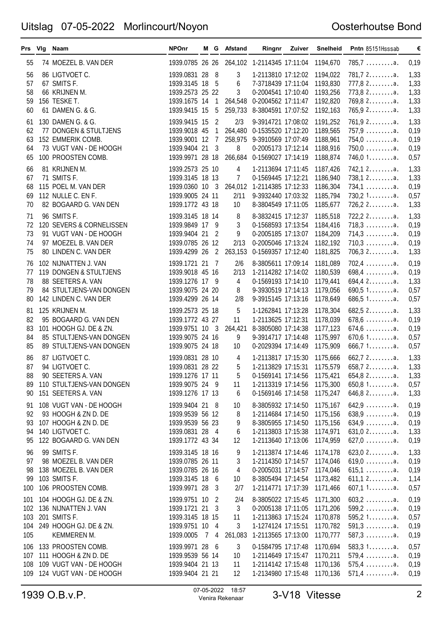#### Oosterhoutse Bond

|                             | Prs Vig Naam                                                                                                            | <b>NPOnr</b>                                                                               |    |                                                  | M G Afstand                       | Ringnr                                                                                                                                    | Zuiver | <b>Snelheid</b>                                          | Pntn 85151Hsssab                                                                         | €                                    |
|-----------------------------|-------------------------------------------------------------------------------------------------------------------------|--------------------------------------------------------------------------------------------|----|--------------------------------------------------|-----------------------------------|-------------------------------------------------------------------------------------------------------------------------------------------|--------|----------------------------------------------------------|------------------------------------------------------------------------------------------|--------------------------------------|
| 55                          | 74 MOEZEL B. VAN DER                                                                                                    | 1939.0785 26 26                                                                            |    |                                                  |                                   | 264,102 1-2114345 17:11:04                                                                                                                |        | 1194,670                                                 | $785.7 \ldots \ldots a.$                                                                 | 0,19                                 |
| 56<br>57<br>58<br>59<br>60  | 86 LIGTVOET C.<br>67 SMITS F.<br>66 KRIJNEN M.<br>156 TESKE T.<br>61 DAMEN G. & G.                                      | 1939.0831 28 8<br>1939.3145 18 5<br>1939.2573 25 22<br>1939.9415 15                        |    | 5                                                | 3<br>6<br>3                       | 1-2113810 17:12:02<br>7-3718439 17:11:04<br>0-2004541 17:10:40<br>1939.1675 14 1 264,548 0-2004562 17:11:47<br>259,733 8-3804591 17:07:52 |        | 1194,022<br>1193,830<br>1193,256<br>1192,820<br>1192,163 | $781, 72, \ldots$<br>$777,82$ a.<br>$773,82$ a.<br>769,8 2a.<br>$765,92$ a.              | 1,33<br>1,33<br>1,33<br>1,33<br>1,33 |
| 61<br>62<br>63<br>64<br>65  | 130 DAMEN G. & G.<br>77 DONGEN & STULTJENS<br>152 EMMERIK COMB.<br>73 VUGT VAN - DE HOOGH<br>100 PROOSTEN COMB.         | 1939.9415 15<br>1939.9018 45<br>1939.9001 12<br>1939.9404 21 3<br>1939.9971 28 18          |    | $\overline{c}$<br>$\mathbf{1}$<br>$\overline{7}$ | 2/3<br>264,480<br>8               | 9-3914721 17:08:02<br>0-1535520 17:12:20<br>258,975 9-3910569 17:07:49<br>0-2005173 17:12:14<br>266,684 0-1569027 17:14:19                |        | 1191,252<br>1189,565<br>1188,961<br>1188,916<br>1188,874 | $761,92$ a.<br>$757,9$ a.<br>$754,0$ a.<br>$750,0$ a.<br>$746,01$ a.                     | 1,33<br>0,19<br>0,19<br>0,19<br>0,57 |
| 66<br>67<br>68<br>69<br>70  | 81 KRIJNEN M.<br>71 SMITS F.<br>115 POEL M. VAN DER<br>112 NULLE C. EN F.<br>82 BOGAARD G. VAN DEN                      | 1939.2573 25 10<br>1939.3145 18 13<br>1939.0360 10 3<br>1939.9005 24 11<br>1939.1772 43 18 |    |                                                  | 4<br>$\overline{7}$<br>2/11<br>10 | 1-2113694 17:11:45<br>0-1569445 17:12:21<br>264,012 1-2114385 17:12:33<br>9-3932440 17:03:32<br>8-3804549 17:11:05                        |        | 1187,426<br>1186,940<br>1186,304<br>1185,794<br>1185,677 | $742,12$ a.<br>$738,12$ a.<br>$734,1$ a.<br>730,21a.<br>$726, 22$ a.                     | 1,33<br>1,33<br>0,19<br>0,57<br>1,33 |
| 71<br>72<br>73<br>74<br>75  | 96 SMITS F.<br>120 SEVERS & CORNELISSEN<br>91 VUGT VAN - DE HOOGH<br>97 MOEZEL B. VAN DER<br>80 LINDEN C. VAN DER       | 1939.3145 18 14<br>1939.9849 17 9<br>1939.9404 21 2<br>1939.0785 26 12<br>1939.4299 26     |    | $\overline{2}$                                   | 8<br>3<br>9<br>2/13<br>263,153    | 8-3832415 17:12:37<br>0-1568593 17:13:54<br>0-2005185 17:13:07<br>0-2005046 17:13:24<br>0-1569357 17:12:40                                |        | 1185,518<br>1184,416<br>1184,209<br>1182,192<br>1181,825 | $722, 22, \ldots$<br>$718,3 \ldots \ldots a.$<br>$714,3$ a.<br>$710,3$ a.<br>$706,32$ a. | 1,33<br>0,19<br>0,19<br>0,19<br>1,33 |
| 76<br>77<br>78<br>79<br>80  | 102 NIJNATTEN J. VAN<br>119 DONGEN & STULTJENS<br>88 SEETERS A. VAN<br>84 STULTJENS-VAN DONGEN<br>142 LINDEN C. VAN DER | 1939.1721 21 7<br>1939.9018 45 16<br>1939.1276 17 9<br>1939.9075 24 20<br>1939.4299 26 14  |    |                                                  | 2/6<br>2/13<br>4<br>8<br>2/8      | 8-3805611 17:09:14<br>1-2114282 17:14:02<br>0-1569193 17:14:10<br>9-3930519 17:14:13<br>9-3915145 17:13:16                                |        | 1181,089<br>1180,539<br>1179,441<br>1179,056<br>1178,649 | $702,4$ a.<br>$698,4$ a.<br>$694, 42$ a.<br>$690,51$ a.<br>686,51a.                      | 0,19<br>0,19<br>1,33<br>0,57<br>0,57 |
| 81<br>82<br>83<br>84<br>85  | 125 KRIJNEN M.<br>95 BOGAARD G. VAN DEN<br>101 HOOGH GJ. DE & ZN.<br>85 STULTJENS-VAN DONGEN<br>89 STULTJENS-VAN DONGEN | 1939.2573 25 18<br>1939.1772 43 27<br>1939.9751 10 3<br>1939.9075 24 16<br>1939.9075 24 18 |    |                                                  | 5<br>11<br>9<br>10                | 1-1262841 17:13:28<br>1-2113625 17:12:31<br>264,421 8-3805080 17:14:38<br>9-3914717 17:14:48<br>0-2029394 17:14:49                        |        | 1178,304<br>1178,039<br>1177,123<br>1175,997<br>1175,909 | 682,52a.<br>$678,6$<br>$674,6$ a.<br>670,61a.<br>666,71a.                                | 1,33<br>0,19<br>0,19<br>0,57<br>0,57 |
| 86<br>87<br>88<br>89<br>90  | 87 LIGTVOET C.<br>94 LIGTVOET C.<br>90 SEETERS A. VAN<br>110 STULTJENS-VAN DONGEN<br>151 SEETERS A. VAN                 | 1939.0831 28 10<br>1939.0831 28 22<br>1939.1276 17 11<br>1939.9075 24 9<br>1939.1276 17 13 |    |                                                  | 4<br>5<br>5<br>11<br>6            | 1-2113817 17:15:30<br>1-2113829 17:15:31 1175,579<br>0-1569141 17:14:56 1175,421<br>1-2113319 17:14:56<br>0-1569146 17:14:58              |        | 1175,666<br>1175,300<br>1175,247                         | 662,72a.<br>$658,72$ a.<br>$654,82$ a.<br>650,81a.<br>646,82a.                           | 1,33<br>1,33<br>1,33<br>0,57<br>1,33 |
| 91<br>92<br>93<br>94<br>95  | 108 VUGT VAN - DE HOOGH<br>93 HOOGH & ZN D. DE<br>107 HOOGH & ZN D. DE<br>140 LIGTVOET C.<br>122 BOGAARD G. VAN DEN     | 1939.9404 21 8<br>1939.9539 56 12<br>1939.9539 56 23<br>1939.0831 28 4<br>1939.1772 43 34  |    |                                                  | 10<br>8<br>9<br>6<br>12           | 8-3805932 17:14:50<br>1-2114684 17:14:50<br>8-3805955 17:14:50<br>1-2113803 17:15:38<br>1-2113640 17:13:06                                |        | 1175,167<br>1175,156<br>1175,156<br>1174,971<br>1174,959 | $642,9$<br>$638,9$ a.<br>$634,9$<br>$631,02$ a.<br>$627,0$ a.                            | 0,19<br>0,19<br>0,19<br>1,33<br>0,19 |
| 96<br>97<br>98<br>99<br>100 | 99 SMITS F.<br>98 MOEZEL B. VAN DER<br>138 MOEZEL B. VAN DER<br>103 SMITS F.<br>106 PROOSTEN COMB.                      | 1939.3145 18 16<br>1939.0785 26 11<br>1939.0785 26 16<br>1939.3145 18<br>1939.9971 28      |    | - 6<br>- 3                                       | 9<br>3<br>4<br>10<br>2/7          | 1-2113874 17:14:46<br>1-2114350 17:14:57<br>0-2005031 17:14:57<br>8-3805494 17:14:54<br>1-2114771 17:17:39                                |        | 1174,178<br>1174,046<br>1174,046<br>1173,482<br>1171,466 | $623,02$ a.<br>$619,0$ a.<br>$615,1$ a.<br>$611,12$ a.<br>607,11a.                       | 1,33<br>0,19<br>0,19<br>1,14<br>0,57 |
| 103<br>105                  | 101 104 HOOGH GJ. DE & ZN.<br>102 136 NIJNATTEN J. VAN<br>201 SMITS F.<br>104 249 HOOGH GJ. DE & ZN.<br>KEMMEREN M.     | 1939.9751 10<br>1939.1721 21 3<br>1939.3145 18 15<br>1939.9751 10 4<br>1939.0005           | 74 | - 2                                              | 2/4<br>3<br>11<br>3<br>261,083    | 8-3805022 17:15:45<br>0-2005138 17:11:05<br>1-2113863 17:15:24 1170,878<br>1-1274124 17:15:51 1170,782<br>1-2113565 17:13:00              |        | 1171,300<br>1171,206<br>1170,777                         | $603, 2 \ldots \ldots \ldots$ a.<br>$599,2$ a.<br>595, 21a.<br>$591,3$ a.<br>$587,3$ a.  | 0,19<br>0,19<br>0,57<br>0,19<br>0,19 |
| 107<br>108                  | 106 133 PROOSTEN COMB.<br>111 HOOGH & ZN D. DE<br>109 VUGT VAN - DE HOOGH<br>109 124 VUGT VAN - DE HOOGH                | 1939.9971 28 6<br>1939.9539 56 14<br>1939.9404 21 13<br>1939.9404 21 21                    |    |                                                  | 3<br>10<br>11<br>12               | 0-1584795 17:17:48<br>1-2114649 17:15:47<br>1-2114142 17:15:48<br>1-2134980 17:15:48                                                      |        | 1170,694<br>1170,211<br>1170,136<br>1170,136             | 583,31a.<br>$579,4$ a.<br>$575.4 \ldots$<br>$571,4$ a.                                   | 0,57<br>0,19<br>0,19<br>0,19         |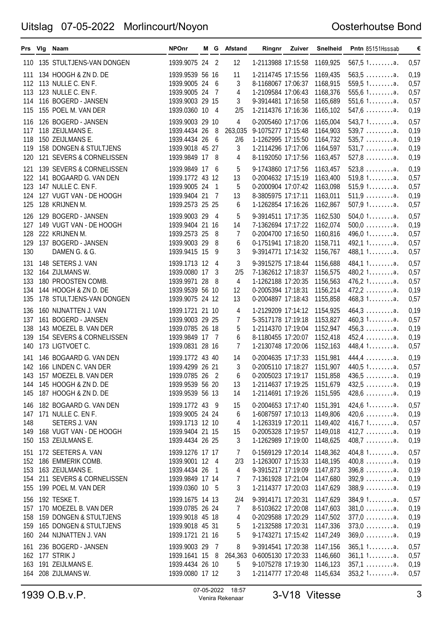#### Oosterhoutse Bond

|                                 | Prs Vig Naam                                                                                                                             | <b>NPOnr</b>                                                                                |                       | M G Afstand                   |                                                                                                                                                | Ringnr Zuiver | Snelheid                                                 | Pntn 85151Hsssab                                                                                    | €                                    |
|---------------------------------|------------------------------------------------------------------------------------------------------------------------------------------|---------------------------------------------------------------------------------------------|-----------------------|-------------------------------|------------------------------------------------------------------------------------------------------------------------------------------------|---------------|----------------------------------------------------------|-----------------------------------------------------------------------------------------------------|--------------------------------------|
| 110                             | 135 STULTJENS-VAN DONGEN                                                                                                                 | 1939.9075 24 2                                                                              |                       | 12                            | 1-2113988 17:15:58                                                                                                                             |               | 1169,925                                                 | 567,51a.                                                                                            | 0,57                                 |
| 111<br>113<br>114<br>115        | 134 HOOGH & ZN D. DE<br>112 113 NULLE C. EN F.<br>123 NULLE C. EN F.<br>116 BOGERD - JANSEN<br>155 POEL M. VAN DER                       | 1939.9539 56 16<br>1939.9005 24<br>1939.9005 24<br>1939.9003 29 15<br>1939.0360 10 4        | - 6<br>$\overline{7}$ | 11<br>3<br>4<br>3<br>2/5      | 1-2114745 17:15:56<br>8-1168067 17:06:37<br>1-2109584 17:06:43<br>9-3914481 17:16:58<br>1-2114376 17:16:36                                     |               | 1169,435<br>1168,915<br>1168,376<br>1165,689<br>1165,102 | $563, 5$<br>559,51a.<br>$555,61$ a.<br>$551,61$ a.<br>547,6a.                                       | 0,19<br>0,57<br>0,57<br>0,57<br>0,19 |
| 116<br>117<br>118<br>119<br>120 | 126 BOGERD - JANSEN<br>118 ZEIJLMANS E.<br>150 ZEIJLMANS E.<br>158 DONGEN & STULTJENS<br>121 SEVERS & CORNELISSEN                        | 1939.9003 29 10<br>1939.4434 26<br>1939.4434 26<br>1939.9018 45 27<br>1939.9849 17 8        | - 8<br>- 6            | 4<br>263,035<br>2/6<br>3<br>4 | 0-2005460 17:17:06<br>9-1075277 17:15:48<br>1-1262995 17:15:50<br>1-2114296 17:17:06<br>8-1192050 17:17:56                                     |               | 1165,004<br>1164,903<br>1164,732<br>1164,597<br>1163,457 | 543,71a.<br>$539,7$ a.<br>$535.7 \ldots \ldots a.$<br>$531,7 \ldots \ldots \ldots$ a.<br>$527,8$ a. | 0,57<br>0,19<br>0,19<br>0,19<br>0,19 |
| 121<br>122<br>123<br>124<br>125 | 139 SEVERS & CORNELISSEN<br>141 BOGAARD G. VAN DEN<br>147 NULLE C. EN F.<br>127 VUGT VAN - DE HOOGH<br>128 KRIJNEN M.                    | 1939.9849 17<br>1939.1772 43 12<br>1939.9005 24<br>1939.9404 21 7<br>1939.2573 25 25        | - 6<br>1              | 5<br>13<br>5<br>13<br>6       | 9-1743860 17:17:56<br>0-2004632 17:15:19<br>0-2000904 17:07:42<br>8-3805975 17:17:11<br>1-1262854 17:16:26                                     |               | 1163,457<br>1163,400<br>1163,098<br>1163,011<br>1162,867 | $523,8$<br>519,81a.<br>515,91a.<br>$511,9$ a.<br>507,91a.                                           | 0,19<br>0,57<br>0,57<br>0,19<br>0,57 |
| 126<br>127<br>128<br>129<br>130 | 129 BOGERD - JANSEN<br>149 VUGT VAN - DE HOOGH<br>222 KRIJNEN M.<br>137 BOGERD - JANSEN<br>DAMEN G. & G.                                 | 1939.9003 29<br>1939.9404 21 16<br>1939.2573 25<br>1939.9003 29<br>1939.9415 15             | - 4<br>- 8<br>8<br>9  | 5<br>14<br>7<br>6<br>3        | 9-3914511 17:17:35<br>7-1362694 17:17:22<br>0-2004700 17:16:50<br>0-1751941 17:18:20<br>9-3914771 17:14:32                                     |               | 1162,530<br>1162,074<br>1160,816<br>1158,711<br>1156,767 | 504,01a.<br>$500,0$ a.<br>$496,01$ a.<br>492,11a.<br>488,11a.                                       | 0,57<br>0,19<br>0,57<br>0,57<br>0,57 |
| 131<br>132<br>133<br>134<br>135 | 148 SETERS J. VAN<br>164 ZIJLMANS W.<br>180 PROOSTEN COMB.<br>144 HOOGH & ZN D. DE<br>178 STULTJENS-VAN DONGEN                           | 1939.1713 12<br>1939.0080 17<br>1939.9971 28<br>1939.9539 56 10<br>1939.9075 24 12          | -4<br>-3<br>- 8       | 3<br>2/5<br>4<br>12<br>13     | 9-3915275 17:18:44<br>7-1362612 17:18:37<br>1-1262188 17:20:35 1156,563<br>0-2005394 17:18:31<br>0-2004897 17:18:43                            |               | 1156,688<br>1156,575<br>1156,214<br>1155,858             | 484,11a.<br>$480,21$ a.<br>$476,21$ a.<br>$472,2$ a.<br>468,31a.                                    | 0,57<br>0,57<br>0,57<br>0,19<br>0,57 |
| 136<br>137<br>138<br>139<br>140 | 160 NIJNATTEN J. VAN<br>161 BOGERD - JANSEN<br>143 MOEZEL B. VAN DER<br>154 SEVERS & CORNELISSEN<br>173 LIGTVOET C.                      | 1939.1721 21 10<br>1939.9003 29 25<br>1939.0785 26 18<br>1939.9849 17 7<br>1939.0831 28 16  |                       | 4<br>7<br>5<br>6<br>7         | 1-2129209 17:14:12<br>5-3517178 17:19:18<br>1-2114370 17:19:04<br>8-1180455 17:20:07<br>1-2130748 17:20:06                                     |               | 1154,925<br>1153,827<br>1152,947<br>1152,418<br>1152,163 | $464,3$ a.<br>460,31a.<br>$456,3$ a.<br>$452,4$ a.<br>448,41a.                                      | 0,19<br>0,57<br>0,19<br>0,19<br>0,57 |
| 141                             | 146 BOGAARD G. VAN DEN<br>142 166 LINDEN C. VAN DER<br>143 157 MOEZEL B. VAN DER<br>144 145 HOOGH & ZN D. DE<br>145 187 HOOGH & ZN D. DE | 1939.1772 43 40<br>1939.4299 26 21<br>1939.0785 26 2<br>1939.9539 56 20<br>1939.9539 56 13  |                       | 14<br>3<br>6<br>13<br>14      | 0-2004635 17:17:33 1151,981<br>0-2005110 17:18:27 1151,907<br>0-2005023 17:19:17 1151,858<br>1-2114637 17:19:25 1151,679<br>1-2114691 17:19:26 |               | 1151,595                                                 | $444.4 \ldots$<br>440,51a.<br>$436,5$ a.<br>$432,5$ a.<br>$428,6$ a.                                | 0,19<br>0,57<br>0,19<br>0,19<br>0,19 |
| 146<br>147<br>148<br>149<br>150 | 182 BOGAARD G. VAN DEN<br>171 NULLE C. EN F.<br>SETERS J. VAN<br>168 VUGT VAN - DE HOOGH<br>153 ZEIJLMANS E.                             | 1939.1772 43 9<br>1939.9005 24 24<br>1939.1713 12 10<br>1939.9404 21 15<br>1939.4434 26 25  |                       | 15<br>6<br>4<br>15<br>3       | 0-2004653 17:17:40<br>1-6087597 17:10:13<br>1-1263319 17:20:11<br>0-2005328 17:19:57<br>1-1262989 17:19:00                                     |               | 1151,391<br>1149,806<br>1149,402<br>1149,018<br>1148,625 | 424,61a.<br>$420,6$ a.<br>416,71a.<br>$412,7$ a.<br>$408,7$ a.                                      | 0,57<br>0,19<br>0,57<br>0,19<br>0,19 |
| 155                             | 151 172 SEETERS A. VAN<br>152 186 EMMERIK COMB.<br>153 163 ZEIJLMANS E.<br>154 211 SEVERS & CORNELISSEN<br>199 POEL M. VAN DER           | 1939.1276 17 17<br>1939.9001 12 4<br>1939.4434 26<br>1939.9849 17 14<br>1939.0360 10 5      | - 1                   | 7<br>2/3<br>4<br>7<br>3       | 0-1569129 17:20:14<br>1-1263007 17:15:33<br>9-3915217 17:19:09<br>7-1361928 17:21:04<br>1-2114377 17:20:03                                     |               | 1148,362<br>1148,195<br>1147,873<br>1147,680<br>1147,629 | 404,81a.<br>$400,8$ a.<br>$396,8$<br>$392,9$ a.<br>$388,9$ a.                                       | 0,57<br>0,19<br>0,19<br>0,19<br>0,19 |
| 156<br>160                      | 192 TESKE T.<br>157 170 MOEZEL B. VAN DER<br>158 159 DONGEN & STULTJENS<br>159 165 DONGEN & STULTJENS<br>244 NIJNATTEN J. VAN            | 1939.1675 14 13<br>1939.0785 26 24<br>1939.9018 45 18<br>1939.9018 45 31<br>1939.1721 21 16 |                       | 2/4<br>7<br>4<br>5<br>5       | 9-3914171 17:20:31<br>8-5103622 17:20:08<br>0-2029588 17:20:29<br>1-2132588 17:20:31<br>9-1743271 17:15:42                                     |               | 1147,629<br>1147,603<br>1147,502<br>1147,336<br>1147,249 | 384.91a.<br>$381,0$ a.<br>$377,0$ a.<br>$373,0$ a.<br>$369,0$ a.                                    | 0,57<br>0,19<br>0,19<br>0,19<br>0,19 |
| 163<br>164                      | 161 236 BOGERD - JANSEN<br>162 177 STRIK J<br>191 ZEIJLMANS E.<br>208 ZIJLMANS W.                                                        | 1939.9003 29 7<br>1939.1641 15 8<br>1939.4434 26 10<br>1939.0080 17 12                      |                       | 8<br>264,363<br>5<br>3        | 9-3914541 17:20:38<br>0-6005130 17:20:33<br>9-1075278 17:19:30<br>1-2114777 17:20:48                                                           |               | 1147,156<br>1146,660<br>1146,123<br>1145,634             | 365,11a.<br>361,11a.<br>$357,1$ a.<br>353,21a.                                                      | 0,57<br>0,57<br>0,19<br>0,57         |

1939 O.B.v.P. 07-05-2022 18:57 <sup>3</sup> Venira Rekenaar 3-V18 Vitesse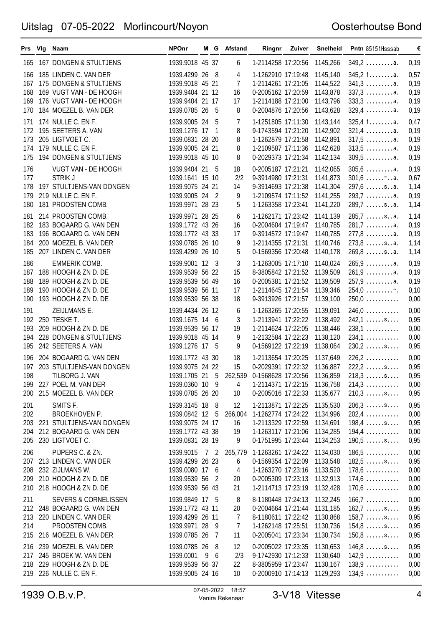#### Oosterhoutse Bond

|                                 | Prs Vig Naam                                                                                                                      | <b>NPOnr</b>                                                                                |     |            | M G Afstand                          |                                                                                                                                                                       | <b>Ringnr Zuiver</b> | Snelheid                                                 | Pntn 85151Hsssab                                                                                              | €                                    |
|---------------------------------|-----------------------------------------------------------------------------------------------------------------------------------|---------------------------------------------------------------------------------------------|-----|------------|--------------------------------------|-----------------------------------------------------------------------------------------------------------------------------------------------------------------------|----------------------|----------------------------------------------------------|---------------------------------------------------------------------------------------------------------------|--------------------------------------|
|                                 | 165 167 DONGEN & STULTJENS                                                                                                        | 1939.9018 45 37                                                                             |     |            | 6                                    | 1-2114258 17:20:56                                                                                                                                                    |                      | 1145,266                                                 | $349,2$ a.                                                                                                    | 0,19                                 |
| 166<br>167<br>168<br>169<br>170 | 185 LINDEN C. VAN DER<br>175 DONGEN & STULTJENS<br>169 VUGT VAN - DE HOOGH<br>176 VUGT VAN - DE HOOGH<br>184 MOEZEL B. VAN DER    | 1939.4299 26 8<br>1939.9018 45 21<br>1939.9404 21 12<br>1939.9404 21 17<br>1939.0785 26 5   |     |            | 4<br>7<br>16<br>17<br>8              | 1-1262910 17:19:48<br>1-2114261 17:21:05<br>0-2005162 17:20:59<br>1-2114188 17:21:00<br>0-2004876 17:20:56                                                            |                      | 1145,140<br>1144,522<br>1143,878<br>1143,796<br>1143,628 | 345,21a.<br>$341,3$<br>$337,3$ a.<br>$333,3$<br>$329,4$ a.                                                    | 0,57<br>0,19<br>0,19<br>0,19<br>0,19 |
| 171<br>172<br>173<br>174<br>175 | 174 NULLE C. EN F.<br>195 SEETERS A. VAN<br>205 LIGTVOET C.<br>179 NULLE C. EN F.<br>194 DONGEN & STULTJENS                       | 1939.9005 24<br>1939.1276 17 1<br>1939.0831 28 20<br>1939.9005 24 21<br>1939.9018 45 10     |     | - 5        | 7<br>8<br>8<br>8<br>8                | 1-1251805 17:11:30<br>9-1743594 17:21:20<br>1-1262879 17:21:58<br>1-2109587 17:11:36<br>0-2029373 17:21:34                                                            |                      | 1143,144<br>1142,902<br>1142,891<br>1142,628<br>1142,134 | 325,41a.<br>$321,4$ a.<br>$317,5$<br>$309,5$ a.                                                               | 0,47<br>0,19<br>0,19<br>0,19<br>0,19 |
| 176<br>177<br>178<br>179<br>180 | VUGT VAN - DE HOOGH<br><b>STRIK J</b><br>197 STULTJENS-VAN DONGEN<br>219 NULLE C. EN F.<br>181 PROOSTEN COMB.                     | 1939.9404 21 5<br>1939.1641 15 10<br>1939.9075 24 21<br>1939.9005 24 2<br>1939.9971 28 23   |     |            | 18<br>2/2<br>14<br>9<br>5            | 0-2005187 17:21:21<br>9-3914980 17:21:31<br>9-3914693 17:21:38<br>1-2109574 17:11:52<br>1-1263358 17:23:41                                                            |                      | 1142,065<br>1141,873<br>1141,304<br>1141,255<br>1141,220 | $305,6 \ldots \ldots \ldots a.$<br>$301,6$ $\sim$<br>$297,6 \ldots$ .sa.<br>$293,7$ a.<br>$289,7 \ldots$ .sa. | 0,19<br>0,67<br>1,14<br>0,19<br>1,14 |
| 181<br>182<br>183<br>184<br>185 | 214 PROOSTEN COMB.<br>183 BOGAARD G. VAN DEN<br>196 BOGAARD G. VAN DEN<br>200 MOEZEL B. VAN DER<br>207 LINDEN C. VAN DER          | 1939.9971 28 25<br>1939.1772 43 26<br>1939.1772 43 33<br>1939.0785 26 10<br>1939.4299 26 10 |     |            | 6<br>16<br>17<br>9<br>5              | 1-1262171 17:23:42<br>0-2004604 17:19:47<br>9-3914572 17:19:47<br>1-2114355 17:21:31<br>0-1569356 17:20:48                                                            |                      | 1141,139<br>1140,785<br>1140,785<br>1140,746<br>1140,178 | $285,7 \ldots$ .sa.<br>$281,7$ a.<br>$277,8$ a.<br>$273,8$ sa.<br>$269,8$ sa.                                 | 1,14<br>0,19<br>0,19<br>1,14<br>1,14 |
| 186<br>187<br>188<br>189<br>190 | EMMERIK COMB.<br>188 HOOGH & ZN D. DE<br>189 HOOGH & ZN D. DE<br>190 HOOGH & ZN D. DE<br>193 HOOGH & ZN D. DE                     | 1939.9001 12 3<br>1939.9539 56 22<br>1939.9539 56 49<br>1939.9539 56 11<br>1939.9539 56 38  |     |            | 3<br>15<br>16<br>17<br>18            | 1-1263005 17:17:10<br>8-3805842 17:21:52 1139,509<br>0-2005381 17:21:52 1139,509<br>1-2114645 17:21:54<br>9-3913926 17:21:57                                          |                      | 1140,024<br>1139,346<br>1139,100                         | 265,9a.<br>$261,9$ a.<br>$257,9$ a.<br>254,0<br>$250,0$                                                       | 0,19<br>0,19<br>0,19<br>0,10<br>0,00 |
| 191<br>192<br>193<br>194<br>195 | ZEIJLMANS E.<br>250 TESKE T.<br>209 HOOGH & ZN D. DE<br>228 DONGEN & STULTJENS<br>242 SEETERS A. VAN                              | 1939.4434 26 12<br>1939.1675 14 6<br>1939.9539 56 17<br>1939.9018 45 14<br>1939.1276 17 5   |     |            | 6<br>3<br>19<br>9<br>9               | 1-1263265 17:20:55<br>1-2113941 17:22:22<br>1-2114624 17:22:05<br>1-2132584 17:22:23<br>0-1569122 17:22:19                                                            |                      | 1139,091<br>1138,492<br>1138,446<br>1138,120<br>1138,064 | $246,0$<br>$242,1$ s<br>$238,1$<br>$234,1$<br>$230,2$ s                                                       | 0,00<br>0,95<br>0,00<br>0,00<br>0,95 |
| 196<br>197<br>198<br>200        | 204 BOGAARD G. VAN DEN<br>203 STULTJENS-VAN DONGEN<br>TILBORG J. VAN<br>199 227 POEL M. VAN DER<br>215 MOEZEL B. VAN DER          | 1939.1772 43 30<br>1939.9075 24 22<br>1939.0360 10 9<br>1939.0785 26 20                     |     |            | 18<br>15<br>4<br>10                  | 1-2113654 17:20:25 1137,649<br>0-2029391 17:22:32 1136,887<br>1939.1705 21 5 262,539 0-1568628 17:20:56 1136,859<br>1-2114371 17:22:15 1136,758<br>0-2005016 17:22:33 |                      | 1135,677                                                 | $226, 2 \ldots$<br>$222, 2 \ldots$ s<br>$218,3 \ldots$<br>$214,3 \ldots \ldots$<br>$210,3 \ldots$ .s          | 0,00<br>0,95<br>0,95<br>0,00<br>0,95 |
| 201<br>202<br>203<br>204<br>205 | SMITS F.<br>BROEKHOVEN P.<br>221 STULTJENS-VAN DONGEN<br>212 BOGAARD G. VAN DEN<br>230 LIGTVOET C.                                | 1939.3145 18 8<br>1939.0842 12 5<br>1939.9075 24 17<br>1939.1772 43 38<br>1939.0831 28 19   |     |            | 12<br>266,004<br>16<br>19<br>9       | 1-2113871 17:22:25<br>1-1262774 17:24:22<br>1-2113329 17:22:59<br>1-1263117 17:21:06<br>0-1751995 17:23:44                                                            |                      | 1135,530<br>1134,996<br>1134,691<br>1134,285<br>1134,253 | $206,3 \ldots$ .s<br>$202,4$<br>$198,4 \ldots$ .s<br>$194,4$<br>$190,5 \ldots$ .s                             | 0,95<br>0,00<br>0,95<br>0,00<br>0,95 |
| 206<br>208<br>209<br>210        | PIJPERS C. & ZN.<br>207 213 LINDEN C. VAN DER<br>232 ZIJLMANS W.<br>210 HOOGH & ZN D. DE<br>218 HOOGH & ZN D. DE                  | 1939.9015<br>1939.4299 26 23<br>1939.0080 17 6<br>1939.9539 56<br>1939.9539 56 43           | 72  | - 2        | 265,779<br>6<br>4<br>20<br>21        | 1-1263261 17:24:22<br>0-1569354 17:22:09<br>1-1263270 17:23:16<br>0-2005309 17:23:13<br>1-2114713 17:23:19                                                            |                      | 1134,030<br>1133,548<br>1133,520<br>1132,913<br>1132,428 | 186,5<br>$182,5 \ldots$ .s<br>$178,6$<br>$174,6$<br>$170,6$                                                   | 0,00<br>0,95<br>0,00<br>0,00<br>0,00 |
| 211<br>213<br>214<br>215        | <b>SEVERS &amp; CORNELISSEN</b><br>212 248 BOGAARD G. VAN DEN<br>220 LINDEN C. VAN DER<br>PROOSTEN COMB.<br>216 MOEZEL B. VAN DER | 1939.9849 17 5<br>1939.1772 43 11<br>1939.4299 26 11<br>1939.9971 28<br>1939.0785 26        |     | - 9<br>- 7 | 8<br>20<br>7<br>$\overline{7}$<br>11 | 8-1180448 17:24:13<br>0-2004664 17:21:44<br>8-1180611 17:22:42 1130,868<br>1-1262148 17:25:51<br>0-2005041 17:23:34                                                   |                      | 1132,245<br>1131,185<br>1130,736<br>1130,734             | $166,7 \ldots \ldots$<br>$162,7 \ldots$ .s<br>$158,7 \ldots$ .s<br>$154,8 \ldots$ .s<br>$150,8 \ldots$ .s     | 0,00<br>0,95<br>0,95<br>0,95<br>0,95 |
| 217<br>219                      | 216 239 MOEZEL B. VAN DER<br>245 BROEK W. VAN DEN<br>218 229 HOOGH & ZN D. DE<br>226 NULLE C. EN F.                               | 1939.0785 26<br>1939.0001<br>1939.9539 56 37<br>1939.9005 24 16                             | - 9 | - 8<br>- 6 | 12<br>2/3<br>22<br>10                | 0-2005022 17:23:35<br>9-1742930 17:12:33<br>8-3805959 17:23:47<br>0-2000910 17:14:13                                                                                  |                      | 1130,653<br>1130,640<br>1130,167<br>1129,293             | $146,8 \ldots$ .s<br>142,9<br>138,9<br>134,9                                                                  | 0,95<br>0,00<br>0,00<br>0,00         |

1939 O.B.v.P. 07-05-2022 18:57 <sup>4</sup> Venira Rekenaar 3-V18 Vitesse